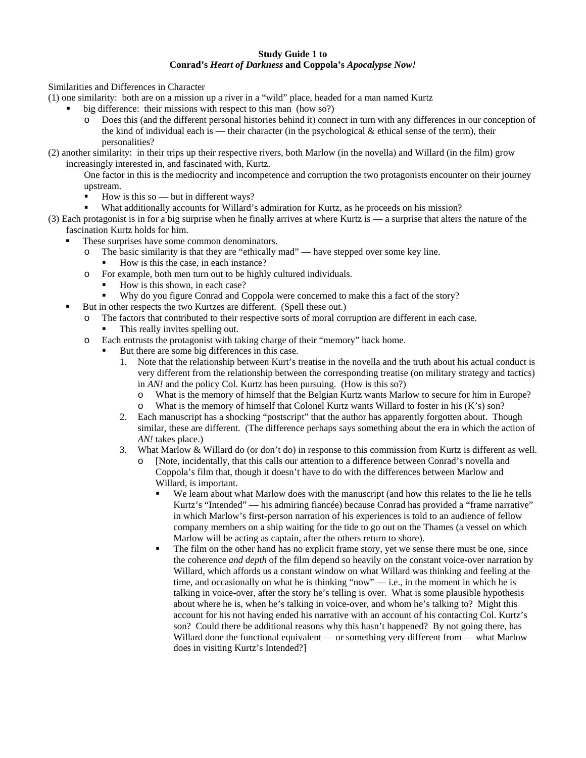## **Study Guide 1 to Conrad's** *Heart of Darkness* **and Coppola's** *Apocalypse Now!*

Similarities and Differences in Character

- (1) one similarity: both are on a mission up a river in a "wild" place, headed for a man named Kurtz
	- big difference: their missions with respect to this man (how so?)
		- o Does this (and the different personal histories behind it) connect in turn with any differences in our conception of the kind of individual each is — their character (in the psychological  $&$  ethical sense of the term), their personalities?
- (2) another similarity: in their trips up their respective rivers, both Marlow (in the novella) and Willard (in the film) grow increasingly interested in, and fascinated with, Kurtz.

One factor in this is the mediocrity and incompetence and corruption the two protagonists encounter on their journey upstream.

- $\blacksquare$  How is this so but in different ways?
- What additionally accounts for Willard's admiration for Kurtz, as he proceeds on his mission?
- (3) Each protagonist is in for a big surprise when he finally arrives at where Kurtz is a surprise that alters the nature of the fascination Kurtz holds for him.
	- These surprises have some common denominators.
		- o The basic similarity is that they are "ethically mad" have stepped over some key line.
			- How is this the case, in each instance?
		- o For example, both men turn out to be highly cultured individuals.
			- How is this shown, in each case?
			- Why do you figure Conrad and Coppola were concerned to make this a fact of the story?
	- But in other respects the two Kurtzes are different. (Spell these out.)
		- The factors that contributed to their respective sorts of moral corruption are different in each case.
			- This really invites spelling out.
		- o Each entrusts the protagonist with taking charge of their "memory" back home.
			- But there are some big differences in this case.
				- 1. Note that the relationship between Kurt's treatise in the novella and the truth about his actual conduct is very different from the relationship between the corresponding treatise (on military strategy and tactics) in *AN!* and the policy Col. Kurtz has been pursuing. (How is this so?)
					- o What is the memory of himself that the Belgian Kurtz wants Marlow to secure for him in Europe?
					- o What is the memory of himself that Colonel Kurtz wants Willard to foster in his (K's) son?
				- 2. Each manuscript has a shocking "postscript" that the author has apparently forgotten about. Though similar, these are different. (The difference perhaps says something about the era in which the action of *AN!* takes place.)
				- 3. What Marlow & Willard do (or don't do) in response to this commission from Kurtz is different as well.
					- o [Note, incidentally, that this calls our attention to a difference between Conrad's novella and Coppola's film that, though it doesn't have to do with the differences between Marlow and Willard, is important.
						- We learn about what Marlow does with the manuscript (and how this relates to the lie he tells Kurtz's "Intended" — his admiring fiancée) because Conrad has provided a "frame narrative" in which Marlow's first-person narration of his experiences is told to an audience of fellow company members on a ship waiting for the tide to go out on the Thames (a vessel on which Marlow will be acting as captain, after the others return to shore).
						- The film on the other hand has no explicit frame story, yet we sense there must be one, since the coherence *and depth* of the film depend so heavily on the constant voice-over narration by Willard, which affords us a constant window on what Willard was thinking and feeling at the time, and occasionally on what he is thinking "now"  $-$  i.e., in the moment in which he is talking in voice-over, after the story he's telling is over. What is some plausible hypothesis about where he is, when he's talking in voice-over, and whom he's talking to? Might this account for his not having ended his narrative with an account of his contacting Col. Kurtz's son? Could there be additional reasons why this hasn't happened? By not going there, has Willard done the functional equivalent — or something very different from — what Marlow does in visiting Kurtz's Intended?]